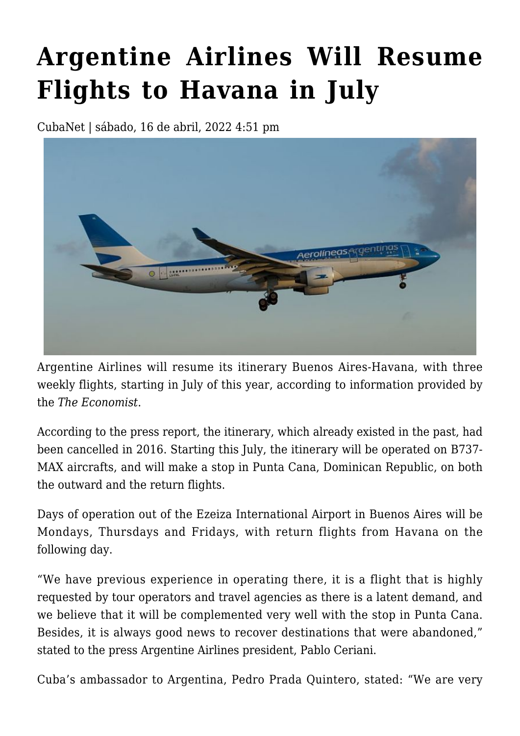## **[Argentine Airlines Will Resume](https://www.cubanet.org/english/argentine-airlines-will-resume-flights-to-havana-in-july/) [Flights to Havana in July](https://www.cubanet.org/english/argentine-airlines-will-resume-flights-to-havana-in-july/)**

CubaNet | sábado, 16 de abril, 2022 4:51 pm



Argentine Airlines will resume its itinerary Buenos Aires-Havana, with three weekly flights, starting in July of this year, according to information provided by the *The Economist*.

According to the press report, the itinerary, which already existed in the past, had been cancelled in 2016. Starting this July, the itinerary will be operated on B737- MAX aircrafts, and will make a stop in Punta Cana, Dominican Republic, on both the outward and the return flights.

Days of operation out of the Ezeiza International Airport in Buenos Aires will be Mondays, Thursdays and Fridays, with return flights from Havana on the following day.

"We have previous experience in operating there, it is a flight that is highly requested by tour operators and travel agencies as there is a latent demand, and we believe that it will be complemented very well with the stop in Punta Cana. Besides, it is always good news to recover destinations that were abandoned," stated to the press Argentine Airlines president, Pablo Ceriani.

Cuba's ambassador to Argentina, Pedro Prada Quintero, stated: "We are very